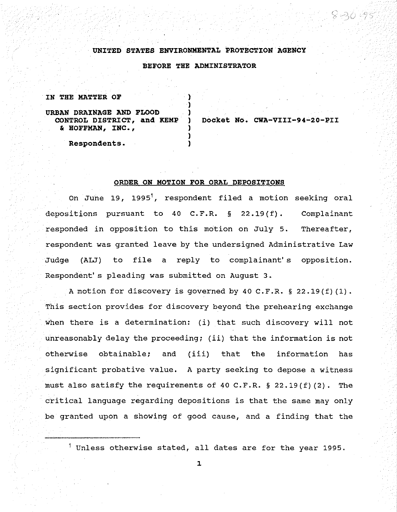## **UNITED STATES ENVIRONMENTAL PROTECTION AGENCY**

**BEFORE THE ADMINISTRATOR** 

)

)

#### **IN THE MATTER OF** )

# URBAN DRAINAGE AND FLOOD<br>**CONTROL DISTRICT, and KEMP** & **ROFFMAN 1 INC.** *1* )

**CONTROL DISTRICT, and KEMP ) Docket No. CWA-VIII-94-20-PII** 

**Respondents.** )

# **ORDER ON MOTION FOR ORAL DEPOSITIONS**

On June 19, 1995<sup>1</sup>, respondent filed a motion seeking oral depositions pursuant to 40 C.F.R. § 22.19(f). Complainant responded in opposition to this motion on July 5. Thereafter, respondent was granted leave by the undersigned Administrative Law Judge (ALJ) to file a reply to complainant's opposition. Respondent's pleading was submitted on August 3.

A motion for discovery is governed by 40 C.F.R. § 22.19(f) (1). This section provides for discovery beyond the prehearing exchange when there is a determination: (i) that such discovery will not unreasonably delay the proceeding; (ii) that the information is not otherwise obtainable; and (iii) that the information has significant probative value. A party seeking to depose a witness must also satisfy the requirements of 40 C.F.R.  $\S$  22.19(f)(2). The critical language regarding depositions is that the same may only be granted upon a showing of good cause, and a finding that the

 $^1$  Unless otherwise stated, all dates are for the year 1995.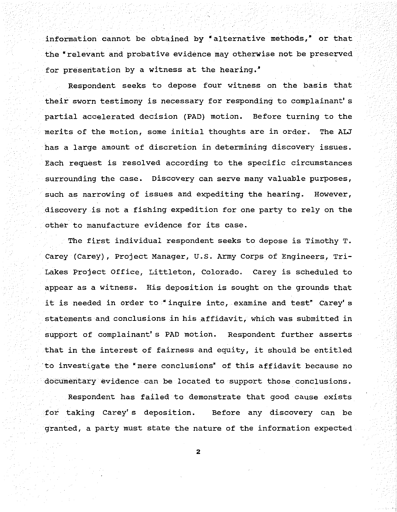information cannot be obtained by "alternative methods,• or that the "relevant and probative evidence may otherwise not be preserved for presentation by a witness at the hearing."

Respondent seeks to depose four witness on the basis that their sworn testimony is necessary for responding to complainant' s partial accelerated decision (PAD) motion. Before turning to the merits of the motion, some initial thoughts are in order. The ALJ has a large amount of discretion in determining discovery issues. Each request is resolved according to the specific circumstances surrounding the case. Discovery can serve many valuable purposes, such as narrowing of issues and expediting the hearing. However, discovery is not a fishing expedition for one party to rely on the other to manufacture evidence for its case.

The first individual respondent seeks to depose is Timothy T. Carey (Carey), Project Manager, U.S. Army Corps of Engineers, Tri-Lakes Project Office, Littleton, Colorado. Carey is scheduled to appear as a witness. His deposition is sought on the grounds that it is needed in order to "inquire into, examine and test" Carey's statements and conclusions in his affidavit, which was submitted in support of complainant' s PAD motion. Respondent further asserts that in the interest of fairness and equity, it should be entitled ·to investigate the "mere conclusions" of this affidavit because no documentary evidence can be located to support those conclusions.

Respondent has failed to demonstrate that good cause exists for taking Carey' s deposition. Before any discovery can be granted, a party must state the nature of the information expected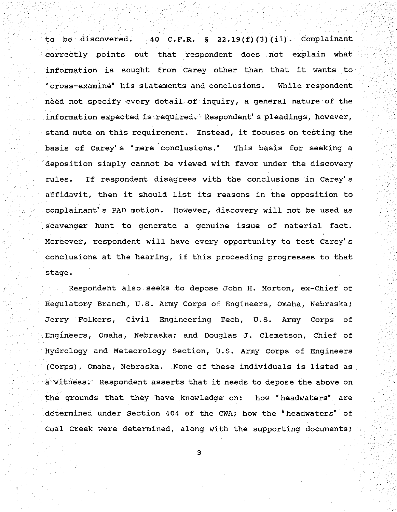to be discovered. 40 C.F.R.  $\S$  22.19(f)(3)(ii). Complainant correctly points out that respondent does not explain what information is sought from Carey other than that it wants to • cross-examine• his statements and conclusions. While respondent need not specify every detail of inquiry, a general nature of the information expected is required. Respondent's pleadings, however, stand mute on this requirement. Instead, it focuses on testing the basis of Carey' s "mere conclusions. • This basis for seeking a deposition simply cannot be viewed with favor under the discovery rules. If respondent disagrees with the conclusions in Carey's affidavit, then it should list its reasons in the opposition to complainant's PAD motion. However, discovery will not be used as scavenger hunt to generate a genuine issue of material fact. Moreover, respondent will have every opportunity to test Carey's conclusions at the hearing, if this proceeding progresses to that stage.

Respondent also seeks to depose John H. Morton, ex-Chief of Regulatory Branch, U.S. Army Corps of Engineers, Omaha, Nebraska; Jerry Folkers, civil Engineering Tech, U.S. Army Corps of Engineers, Omaha, Nebraska; and Douglas J. Clemetson, Chief of Hydrology and Meteorology Section, U.S. Army Corps of Engineers (Corps), Omaha, Nebraska. None of these individuals is listed as a witness. Respondent asserts that it needs to depose the above on the grounds that they have knowledge on: how • headwaters" are determined under Section 404 of the CWA; how the "headwaters" of Coal Creek were determined, along with the supporting documents;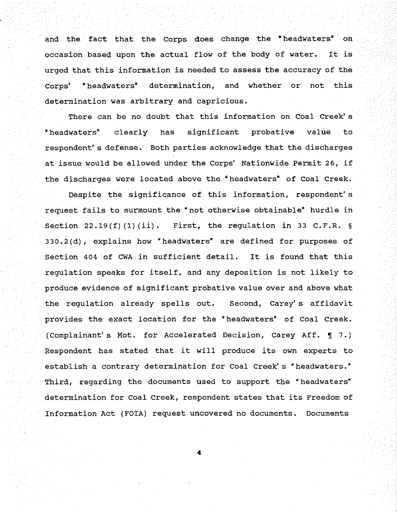and the fact that the Corps does change the • headwaters• on occasion based upon the actual flow of the body of water. It is urged that this information is needed to assess the accuracy of the Corps' "headwaters• determination, and whether or not this determination was arbitrary and capricious.

There can be no doubt that this information on Coal Creek's "headwaters" clearly has significant probative value to respondent' s defense. Both parties acknowledge that the discharges at issue would be allowed under the Corps' Nationwide Permit 26, if the discharges were located above the "headwaters" of Coal Creek.

Despite the significance of this information, respondent' s request fails to surmount the "not otherwise obtainable" hurdle in Section 22.19(f)(1)(ii). First, the regulation in 33 C.F.R. § 330.2(d), explains how "headwaters" are defined for purposes of Section 404 of CWA in sufficient detail. It is found that this regulation speaks for itself, and any deposition is not likely to produce evidence of significant probative value over and above what the regulation already spells out. Second, Carey's affidavit provides the exact location for the "headwaters" of Coal Creek. (Complainant's Mot. for Accelerated Decision, Carey Aff.  $\P$  7.) Respondent has stated that it will produce its own experts to establish a contrary determination for Coal Creek's "headwaters." Third, regarding the documents used to support the "headwaters" determination for Coal Creek, respondent states that its Freedom of Information Act (FOIA) request uncovered no documents. Documents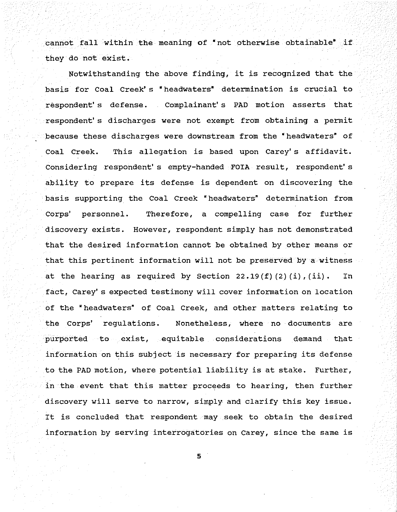cannot fall within the meaning of "not otherwise obtainable" if they do not exist.

Notwithstanding the above finding, it is recognized that the basis for coal Creek' s • headwaters• determination is crucial to respondent' s defense. Complainant' s PAD motion asserts that respondent' s discharges were not exempt from obtaining a permit because these discharges were downstream from the "headwaters" of Coal Creek. This allegation is based upon Carey's affidavit. Considering respondent's empty-handed FOIA result, respondent's ability to prepare its defense is dependent on discovering the basis supporting the Coal Creek "headwaters" determination from Corps' personnel. Therefore, a compelling case for further discovery exists. However, respondent simply has not demonstrated that the desired information cannot be obtained by other means or that this pertinent information will not be preserved by a witness at the hearing as required by Section  $22.19(f)(2)(i)$ , (ii). In fact, Carey's expected testimony will cover information on location of the "headwaters• of Coal Creek, and other matters relating to the Corps' regulations. Nonetheless, where no documents are purported to exist, equitable considerations demand that information on this subject is necessary for preparing its defense to the PAD motion, where potential liability is at stake. Further, in the event that this matter proceeds to hearing, then further discovery will serve to narrow, simply and clarify this key issue. It is concluded that respondent may seek to obtain the desired information by serving interrogatories on Carey, since the same is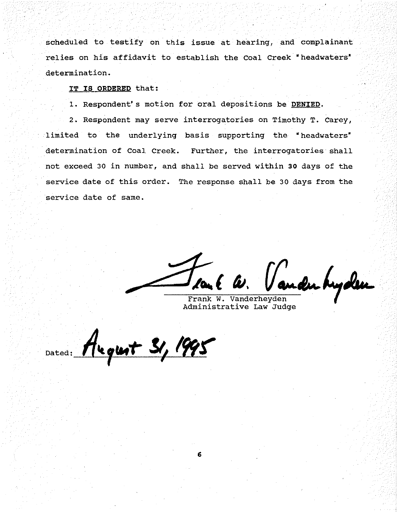scheduled to testify on this issue at hearing, and complainant relies on his affidavit to establish the Coal Creek "headwaters" determination.

**IT IS ORDERED** that:

1. Respondent's motion for oral depositions be **DENIED.** 

2. Respondent may serve interrogatories on Timothy T. Carey, limited to the underlying basis supporting the "headwaters" determination of Coal Creek. Further, the interrogatories shall not exceed 30 in number, and shall be served within *30* days of the service date of this order. The response shall be 30 days from the service date of same.

audu hyden

Frank W. Vanderheyden Administrative Law Judge

Dated: Alequet 31, 1995